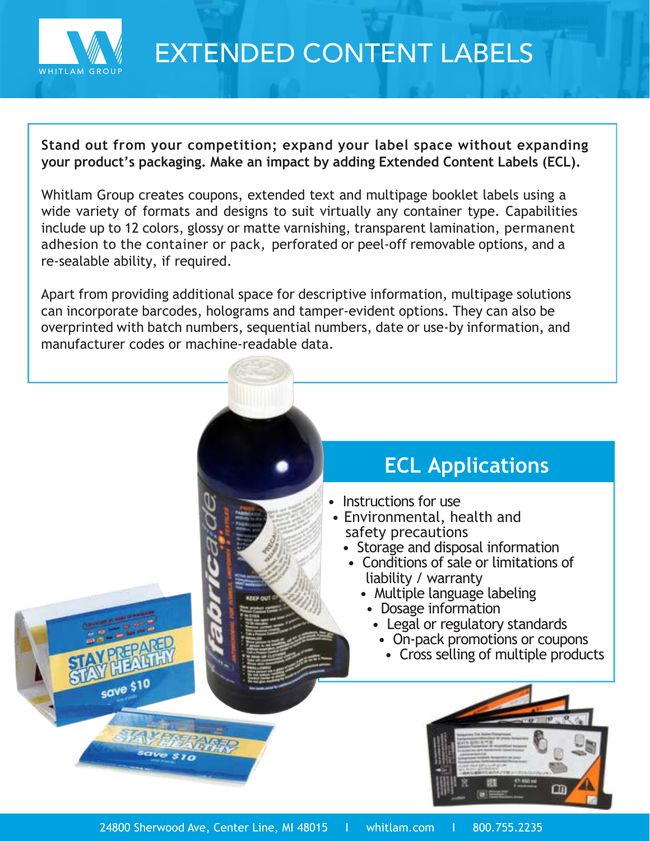

## EXTENDED CONTENT LABELS

**Stand out from your competition; expand your label space without expanding your product's packaging. Make an impact by adding Extended Content Labels (ECL).** 

Whitlam Group creates coupons, extended text and multipage booklet labels using a wide variety of formats and designs to suit virtually any container type. Capabilities include up to 12 colors, glossy or matte varnishing, transparent lamination, permanent adhesion to the container or pack, perforated or peel-off removable options, and a re-sealable ability, if required.

Apart from providing additional space for descriptive information, multipage solutions can incorporate barcodes, holograms and tamper-evident options. They can also be overprinted with batch numbers, sequential numbers, date or use-by information, and manufacturer codes or machine-readable data.